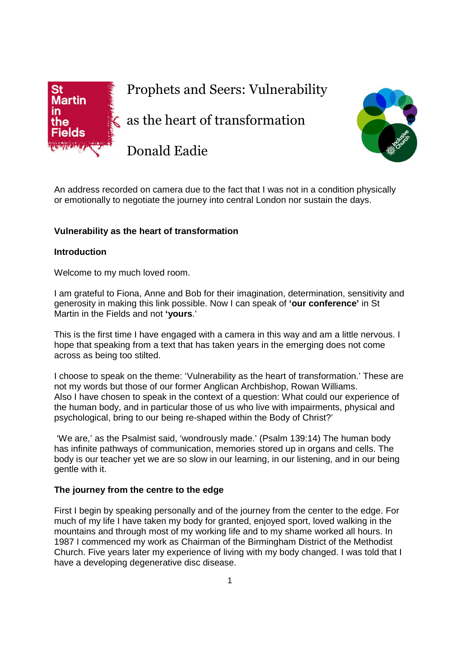

# Prophets and Seers: Vulnerability

as the heart of transformation





An address recorded on camera due to the fact that I was not in a condition physically or emotionally to negotiate the journey into central London nor sustain the days.

## **Vulnerability as the heart of transformation**

## **Introduction**

Welcome to my much loved room.

I am grateful to Fiona, Anne and Bob for their imagination, determination, sensitivity and generosity in making this link possible. Now I can speak of **'our conference'** in St Martin in the Fields and not **'yours**.'

This is the first time I have engaged with a camera in this way and am a little nervous. I hope that speaking from a text that has taken years in the emerging does not come across as being too stilted.

I choose to speak on the theme: 'Vulnerability as the heart of transformation.' These are not my words but those of our former Anglican Archbishop, Rowan Williams. Also I have chosen to speak in the context of a question: What could our experience of the human body, and in particular those of us who live with impairments, physical and psychological, bring to our being re-shaped within the Body of Christ?'

 'We are,' as the Psalmist said, 'wondrously made.' (Psalm 139:14) The human body has infinite pathways of communication, memories stored up in organs and cells. The body is our teacher yet we are so slow in our learning, in our listening, and in our being gentle with it.

## **The journey from the centre to the edge**

First I begin by speaking personally and of the journey from the center to the edge. For much of my life I have taken my body for granted, enjoyed sport, loved walking in the mountains and through most of my working life and to my shame worked all hours. In 1987 I commenced my work as Chairman of the Birmingham District of the Methodist Church. Five years later my experience of living with my body changed. I was told that I have a developing degenerative disc disease.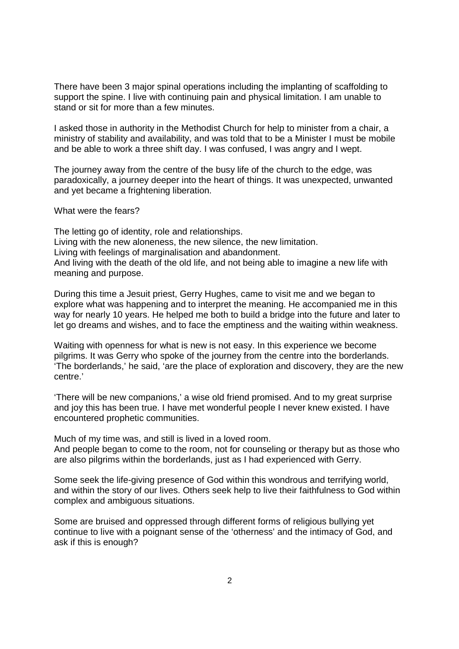There have been 3 major spinal operations including the implanting of scaffolding to support the spine. I live with continuing pain and physical limitation. I am unable to stand or sit for more than a few minutes.

I asked those in authority in the Methodist Church for help to minister from a chair, a ministry of stability and availability, and was told that to be a Minister I must be mobile and be able to work a three shift day. I was confused, I was angry and I wept.

The journey away from the centre of the busy life of the church to the edge, was paradoxically, a journey deeper into the heart of things. It was unexpected, unwanted and yet became a frightening liberation.

What were the fears?

The letting go of identity, role and relationships. Living with the new aloneness, the new silence, the new limitation. Living with feelings of marginalisation and abandonment. And living with the death of the old life, and not being able to imagine a new life with meaning and purpose.

During this time a Jesuit priest, Gerry Hughes, came to visit me and we began to explore what was happening and to interpret the meaning. He accompanied me in this way for nearly 10 years. He helped me both to build a bridge into the future and later to let go dreams and wishes, and to face the emptiness and the waiting within weakness.

Waiting with openness for what is new is not easy. In this experience we become pilgrims. It was Gerry who spoke of the journey from the centre into the borderlands. 'The borderlands,' he said, 'are the place of exploration and discovery, they are the new centre.'

'There will be new companions,' a wise old friend promised. And to my great surprise and joy this has been true. I have met wonderful people I never knew existed. I have encountered prophetic communities.

Much of my time was, and still is lived in a loved room.

And people began to come to the room, not for counseling or therapy but as those who are also pilgrims within the borderlands, just as I had experienced with Gerry.

Some seek the life-giving presence of God within this wondrous and terrifying world, and within the story of our lives. Others seek help to live their faithfulness to God within complex and ambiguous situations.

Some are bruised and oppressed through different forms of religious bullying yet continue to live with a poignant sense of the 'otherness' and the intimacy of God, and ask if this is enough?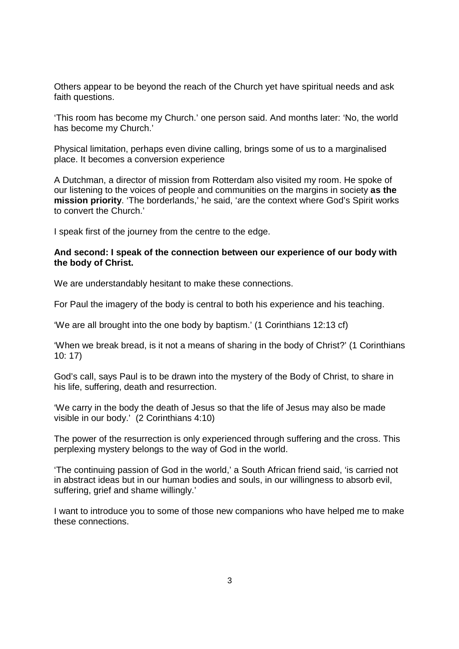Others appear to be beyond the reach of the Church yet have spiritual needs and ask faith questions.

'This room has become my Church.' one person said. And months later: 'No, the world has become my Church.'

Physical limitation, perhaps even divine calling, brings some of us to a marginalised place. It becomes a conversion experience

A Dutchman, a director of mission from Rotterdam also visited my room. He spoke of our listening to the voices of people and communities on the margins in society **as the mission priority**. 'The borderlands,' he said, 'are the context where God's Spirit works to convert the Church.'

I speak first of the journey from the centre to the edge.

### **And second: I speak of the connection between our experience of our body with the body of Christ.**

We are understandably hesitant to make these connections.

For Paul the imagery of the body is central to both his experience and his teaching.

'We are all brought into the one body by baptism.' (1 Corinthians 12:13 cf)

'When we break bread, is it not a means of sharing in the body of Christ?' (1 Corinthians 10: 17)

God's call, says Paul is to be drawn into the mystery of the Body of Christ, to share in his life, suffering, death and resurrection.

'We carry in the body the death of Jesus so that the life of Jesus may also be made visible in our body.' (2 Corinthians 4:10)

The power of the resurrection is only experienced through suffering and the cross. This perplexing mystery belongs to the way of God in the world.

'The continuing passion of God in the world,' a South African friend said, 'is carried not in abstract ideas but in our human bodies and souls, in our willingness to absorb evil, suffering, grief and shame willingly.'

I want to introduce you to some of those new companions who have helped me to make these connections.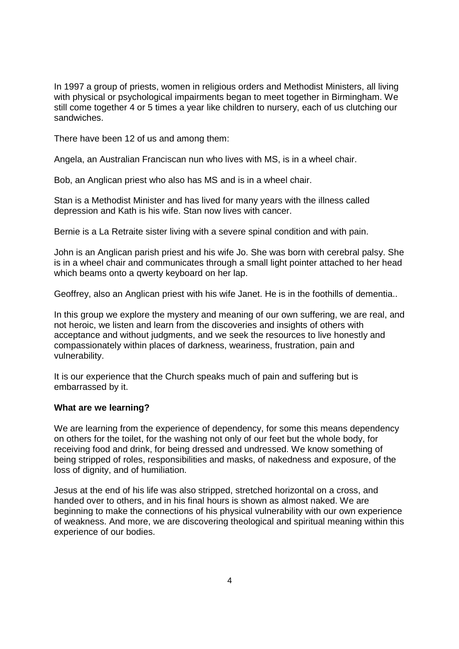In 1997 a group of priests, women in religious orders and Methodist Ministers, all living with physical or psychological impairments began to meet together in Birmingham. We still come together 4 or 5 times a year like children to nursery, each of us clutching our sandwiches.

There have been 12 of us and among them:

Angela, an Australian Franciscan nun who lives with MS, is in a wheel chair.

Bob, an Anglican priest who also has MS and is in a wheel chair.

Stan is a Methodist Minister and has lived for many years with the illness called depression and Kath is his wife. Stan now lives with cancer.

Bernie is a La Retraite sister living with a severe spinal condition and with pain.

John is an Anglican parish priest and his wife Jo. She was born with cerebral palsy. She is in a wheel chair and communicates through a small light pointer attached to her head which beams onto a qwerty keyboard on her lap.

Geoffrey, also an Anglican priest with his wife Janet. He is in the foothills of dementia..

In this group we explore the mystery and meaning of our own suffering, we are real, and not heroic, we listen and learn from the discoveries and insights of others with acceptance and without judgments, and we seek the resources to live honestly and compassionately within places of darkness, weariness, frustration, pain and vulnerability.

It is our experience that the Church speaks much of pain and suffering but is embarrassed by it.

### **What are we learning?**

We are learning from the experience of dependency, for some this means dependency on others for the toilet, for the washing not only of our feet but the whole body, for receiving food and drink, for being dressed and undressed. We know something of being stripped of roles, responsibilities and masks, of nakedness and exposure, of the loss of dignity, and of humiliation.

Jesus at the end of his life was also stripped, stretched horizontal on a cross, and handed over to others, and in his final hours is shown as almost naked. We are beginning to make the connections of his physical vulnerability with our own experience of weakness. And more, we are discovering theological and spiritual meaning within this experience of our bodies.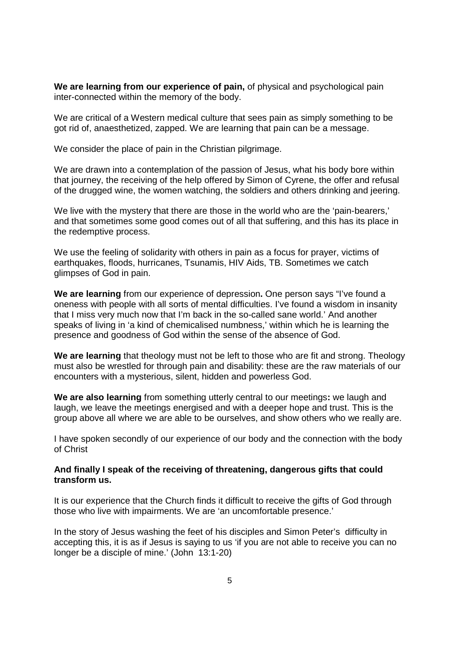**We are learning from our experience of pain,** of physical and psychological pain inter-connected within the memory of the body.

We are critical of a Western medical culture that sees pain as simply something to be got rid of, anaesthetized, zapped. We are learning that pain can be a message.

We consider the place of pain in the Christian pilgrimage.

We are drawn into a contemplation of the passion of Jesus, what his body bore within that journey, the receiving of the help offered by Simon of Cyrene, the offer and refusal of the drugged wine, the women watching, the soldiers and others drinking and jeering.

We live with the mystery that there are those in the world who are the 'pain-bearers,' and that sometimes some good comes out of all that suffering, and this has its place in the redemptive process.

We use the feeling of solidarity with others in pain as a focus for prayer, victims of earthquakes, floods, hurricanes, Tsunamis, HIV Aids, TB. Sometimes we catch glimpses of God in pain.

**We are learning** from our experience of depression**.** One person says "I've found a oneness with people with all sorts of mental difficulties. I've found a wisdom in insanity that I miss very much now that I'm back in the so-called sane world.' And another speaks of living in 'a kind of chemicalised numbness,' within which he is learning the presence and goodness of God within the sense of the absence of God.

**We are learning** that theology must not be left to those who are fit and strong. Theology must also be wrestled for through pain and disability: these are the raw materials of our encounters with a mysterious, silent, hidden and powerless God.

**We are also learning** from something utterly central to our meetings**:** we laugh and laugh, we leave the meetings energised and with a deeper hope and trust. This is the group above all where we are able to be ourselves, and show others who we really are.

I have spoken secondly of our experience of our body and the connection with the body of Christ

## **And finally I speak of the receiving of threatening, dangerous gifts that could transform us.**

It is our experience that the Church finds it difficult to receive the gifts of God through those who live with impairments. We are 'an uncomfortable presence.'

In the story of Jesus washing the feet of his disciples and Simon Peter's difficulty in accepting this, it is as if Jesus is saying to us 'if you are not able to receive you can no longer be a disciple of mine.' (John 13:1-20)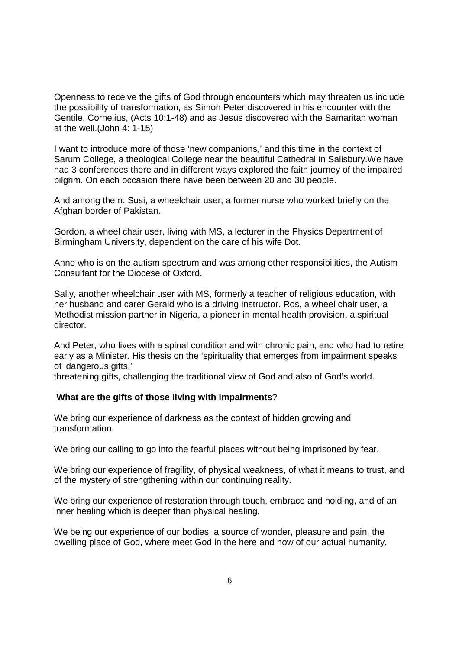Openness to receive the gifts of God through encounters which may threaten us include the possibility of transformation, as Simon Peter discovered in his encounter with the Gentile, Cornelius, (Acts 10:1-48) and as Jesus discovered with the Samaritan woman at the well.(John 4: 1-15)

I want to introduce more of those 'new companions,' and this time in the context of Sarum College, a theological College near the beautiful Cathedral in Salisbury.We have had 3 conferences there and in different ways explored the faith journey of the impaired pilgrim. On each occasion there have been between 20 and 30 people.

And among them: Susi, a wheelchair user, a former nurse who worked briefly on the Afghan border of Pakistan.

Gordon, a wheel chair user, living with MS, a lecturer in the Physics Department of Birmingham University, dependent on the care of his wife Dot.

Anne who is on the autism spectrum and was among other responsibilities, the Autism Consultant for the Diocese of Oxford.

Sally, another wheelchair user with MS, formerly a teacher of religious education, with her husband and carer Gerald who is a driving instructor. Ros, a wheel chair user, a Methodist mission partner in Nigeria, a pioneer in mental health provision, a spiritual director.

And Peter, who lives with a spinal condition and with chronic pain, and who had to retire early as a Minister. His thesis on the 'spirituality that emerges from impairment speaks of 'dangerous gifts,'

threatening gifts, challenging the traditional view of God and also of God's world.

## **What are the gifts of those living with impairments**?

We bring our experience of darkness as the context of hidden growing and transformation.

We bring our calling to go into the fearful places without being imprisoned by fear.

We bring our experience of fragility, of physical weakness, of what it means to trust, and of the mystery of strengthening within our continuing reality.

We bring our experience of restoration through touch, embrace and holding, and of an inner healing which is deeper than physical healing,

We being our experience of our bodies, a source of wonder, pleasure and pain, the dwelling place of God, where meet God in the here and now of our actual humanity.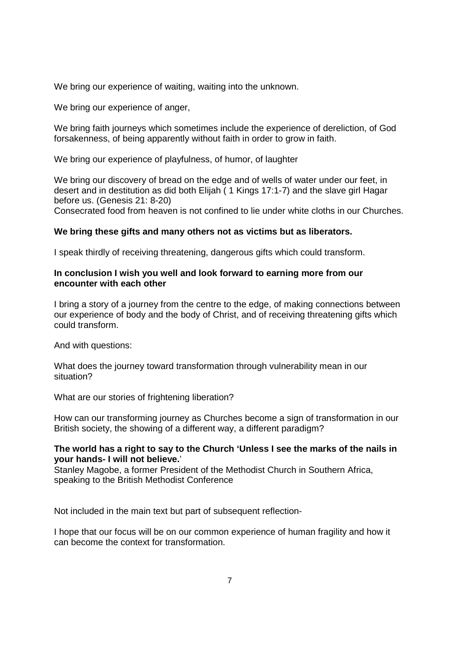We bring our experience of waiting, waiting into the unknown.

We bring our experience of anger.

We bring faith journeys which sometimes include the experience of dereliction, of God forsakenness, of being apparently without faith in order to grow in faith.

We bring our experience of playfulness, of humor, of laughter

We bring our discovery of bread on the edge and of wells of water under our feet, in desert and in destitution as did both Elijah ( 1 Kings 17:1-7) and the slave girl Hagar before us. (Genesis 21: 8-20)

Consecrated food from heaven is not confined to lie under white cloths in our Churches.

## **We bring these gifts and many others not as victims but as liberators.**

I speak thirdly of receiving threatening, dangerous gifts which could transform.

## **In conclusion I wish you well and look forward to earning more from our encounter with each other**

I bring a story of a journey from the centre to the edge, of making connections between our experience of body and the body of Christ, and of receiving threatening gifts which could transform.

And with questions:

What does the journey toward transformation through vulnerability mean in our situation?

What are our stories of frightening liberation?

How can our transforming journey as Churches become a sign of transformation in our British society, the showing of a different way, a different paradigm?

# **The world has a right to say to the Church 'Unless I see the marks of the nails in your hands- I will not believe.**'

Stanley Magobe, a former President of the Methodist Church in Southern Africa, speaking to the British Methodist Conference

Not included in the main text but part of subsequent reflection-

I hope that our focus will be on our common experience of human fragility and how it can become the context for transformation.